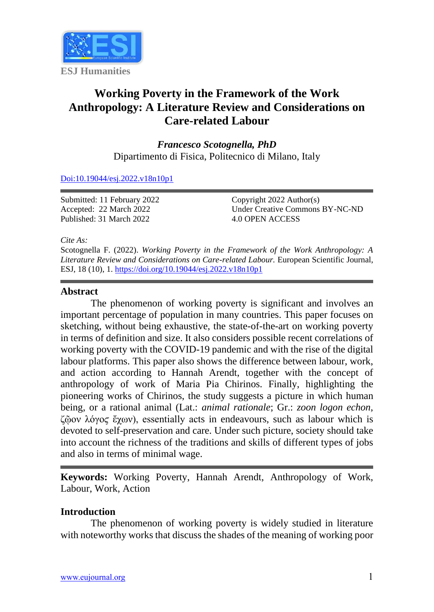

# **Working Poverty in the Framework of the Work Anthropology: A Literature Review and Considerations on Care-related Labour**

*Francesco Scotognella, PhD* Dipartimento di Fisica, Politecnico di Milano, Italy

[Doi:10.19044/esj.2022.v18n10p1](https://doi.org/10.19044/esj.2022.v18n10p1)

Submitted: 11 February 2022 Accepted: 22 March 2022 Published: 31 March 2022

Copyright 2022 Author(s) Under Creative Commons BY-NC-ND 4.0 OPEN ACCESS

*Cite As:*

Scotognella F. (2022). *Working Poverty in the Framework of the Work Anthropology: A Literature Review and Considerations on Care-related Labour.* European Scientific Journal, ESJ, 18 (10), 1. <https://doi.org/10.19044/esj.2022.v18n10p1>

#### **Abstract**

The phenomenon of working poverty is significant and involves an important percentage of population in many countries. This paper focuses on sketching, without being exhaustive, the state-of-the-art on working poverty in terms of definition and size. It also considers possible recent correlations of working poverty with the COVID-19 pandemic and with the rise of the digital labour platforms. This paper also shows the difference between labour, work, and action according to Hannah Arendt, together with the concept of anthropology of work of Maria Pia Chirinos. Finally, highlighting the pioneering works of Chirinos, the study suggests a picture in which human being, or a rational animal (Lat.: *animal rationale*; Gr.: *zoon logon echon*, ζῷον λόγοϛ ἔχων), essentially acts in endeavours, such as labour which is devoted to self-preservation and care. Under such picture, society should take into account the richness of the traditions and skills of different types of jobs and also in terms of minimal wage.

**Keywords:** Working Poverty, Hannah Arendt, Anthropology of Work, Labour, Work, Action

# **Introduction**

The phenomenon of working poverty is widely studied in literature with noteworthy works that discuss the shades of the meaning of working poor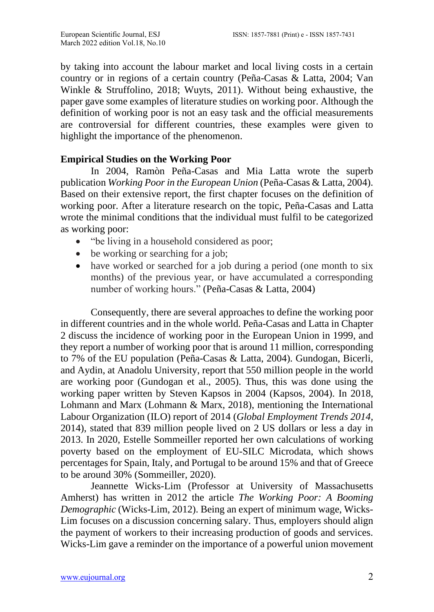by taking into account the labour market and local living costs in a certain country or in regions of a certain country (Peña-Casas & Latta, 2004; Van Winkle & Struffolino, 2018; Wuyts, 2011). Without being exhaustive, the paper gave some examples of literature studies on working poor. Although the definition of working poor is not an easy task and the official measurements are controversial for different countries, these examples were given to highlight the importance of the phenomenon.

# **Empirical Studies on the Working Poor**

In 2004, Ramòn Peña-Casas and Mia Latta wrote the superb publication *Working Poor in the European Union* (Peña-Casas & Latta, 2004). Based on their extensive report, the first chapter focuses on the definition of working poor. After a literature research on the topic, Peña-Casas and Latta wrote the minimal conditions that the individual must fulfil to be categorized as working poor:

- "be living in a household considered as poor;
- be working or searching for a job;
- have worked or searched for a job during a period (one month to six months) of the previous year, or have accumulated a corresponding number of working hours." (Peña-Casas & Latta, 2004)

Consequently, there are several approaches to define the working poor in different countries and in the whole world. Peña-Casas and Latta in Chapter 2 discuss the incidence of working poor in the European Union in 1999, and they report a number of working poor that is around 11 million, corresponding to 7% of the EU population (Peña-Casas & Latta, 2004). Gundogan, Bicerli, and Aydin, at Anadolu University, report that 550 million people in the world are working poor (Gundogan et al., 2005). Thus, this was done using the working paper written by Steven Kapsos in 2004 (Kapsos, 2004). In 2018, Lohmann and Marx (Lohmann & Marx, 2018), mentioning the International Labour Organization (ILO) report of 2014 (*Global Employment Trends 2014*, 2014), stated that 839 million people lived on 2 US dollars or less a day in 2013. In 2020, Estelle Sommeiller reported her own calculations of working poverty based on the employment of EU-SILC Microdata, which shows percentages for Spain, Italy, and Portugal to be around 15% and that of Greece to be around 30% (Sommeiller, 2020).

Jeannette Wicks-Lim (Professor at University of Massachusetts Amherst) has written in 2012 the article *The Working Poor: A Booming Demographic* (Wicks-Lim, 2012). Being an expert of minimum wage, Wicks-Lim focuses on a discussion concerning salary. Thus, employers should align the payment of workers to their increasing production of goods and services. Wicks-Lim gave a reminder on the importance of a powerful union movement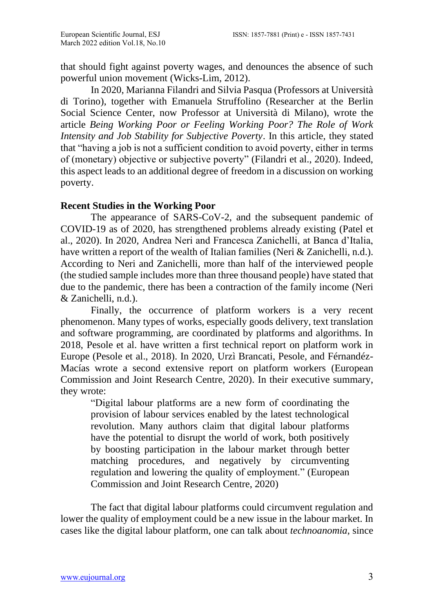that should fight against poverty wages, and denounces the absence of such powerful union movement (Wicks-Lim, 2012).

In 2020, Marianna Filandri and Silvia Pasqua (Professors at Università di Torino), together with Emanuela Struffolino (Researcher at the Berlin Social Science Center, now Professor at Università di Milano), wrote the article *Being Working Poor or Feeling Working Poor? The Role of Work Intensity and Job Stability for Subjective Poverty*. In this article, they stated that "having a job is not a sufficient condition to avoid poverty, either in terms of (monetary) objective or subjective poverty" (Filandri et al., 2020). Indeed, this aspect leads to an additional degree of freedom in a discussion on working poverty.

### **Recent Studies in the Working Poor**

The appearance of SARS-CoV-2, and the subsequent pandemic of COVID-19 as of 2020, has strengthened problems already existing (Patel et al., 2020). In 2020, Andrea Neri and Francesca Zanichelli, at Banca d'Italia, have written a report of the wealth of Italian families (Neri & Zanichelli, n.d.). According to Neri and Zanichelli, more than half of the interviewed people (the studied sample includes more than three thousand people) have stated that due to the pandemic, there has been a contraction of the family income (Neri & Zanichelli, n.d.).

Finally, the occurrence of platform workers is a very recent phenomenon. Many types of works, especially goods delivery, text translation and software programming, are coordinated by platforms and algorithms. In 2018, Pesole et al. have written a first technical report on platform work in Europe (Pesole et al., 2018). In 2020, Urzì Brancati, Pesole, and Férnandéz-Macías wrote a second extensive report on platform workers (European Commission and Joint Research Centre, 2020). In their executive summary, they wrote:

"Digital labour platforms are a new form of coordinating the provision of labour services enabled by the latest technological revolution. Many authors claim that digital labour platforms have the potential to disrupt the world of work, both positively by boosting participation in the labour market through better matching procedures, and negatively by circumventing regulation and lowering the quality of employment." (European Commission and Joint Research Centre, 2020)

The fact that digital labour platforms could circumvent regulation and lower the quality of employment could be a new issue in the labour market. In cases like the digital labour platform, one can talk about *technoanomia*, since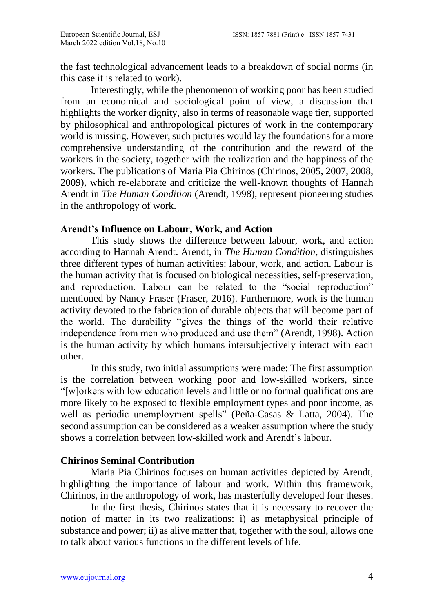the fast technological advancement leads to a breakdown of social norms (in this case it is related to work).

Interestingly, while the phenomenon of working poor has been studied from an economical and sociological point of view, a discussion that highlights the worker dignity, also in terms of reasonable wage tier, supported by philosophical and anthropological pictures of work in the contemporary world is missing. However, such pictures would lay the foundations for a more comprehensive understanding of the contribution and the reward of the workers in the society, together with the realization and the happiness of the workers. The publications of Maria Pia Chirinos (Chirinos, 2005, 2007, 2008, 2009), which re-elaborate and criticize the well-known thoughts of Hannah Arendt in *The Human Condition* (Arendt, 1998), represent pioneering studies in the anthropology of work.

# **Arendt's Influence on Labour, Work, and Action**

This study shows the difference between labour, work, and action according to Hannah Arendt. Arendt, in *The Human Condition*, distinguishes three different types of human activities: labour, work, and action. Labour is the human activity that is focused on biological necessities, self-preservation, and reproduction. Labour can be related to the "social reproduction" mentioned by Nancy Fraser (Fraser, 2016). Furthermore, work is the human activity devoted to the fabrication of durable objects that will become part of the world. The durability "gives the things of the world their relative independence from men who produced and use them" (Arendt, 1998). Action is the human activity by which humans intersubjectively interact with each other.

In this study, two initial assumptions were made: The first assumption is the correlation between working poor and low-skilled workers, since "[w]orkers with low education levels and little or no formal qualifications are more likely to be exposed to flexible employment types and poor income, as well as periodic unemployment spells" (Peña-Casas & Latta, 2004). The second assumption can be considered as a weaker assumption where the study shows a correlation between low-skilled work and Arendt's labour.

# **Chirinos Seminal Contribution**

Maria Pia Chirinos focuses on human activities depicted by Arendt, highlighting the importance of labour and work. Within this framework, Chirinos, in the anthropology of work, has masterfully developed four theses.

In the first thesis, Chirinos states that it is necessary to recover the notion of matter in its two realizations: i) as metaphysical principle of substance and power; ii) as alive matter that, together with the soul, allows one to talk about various functions in the different levels of life.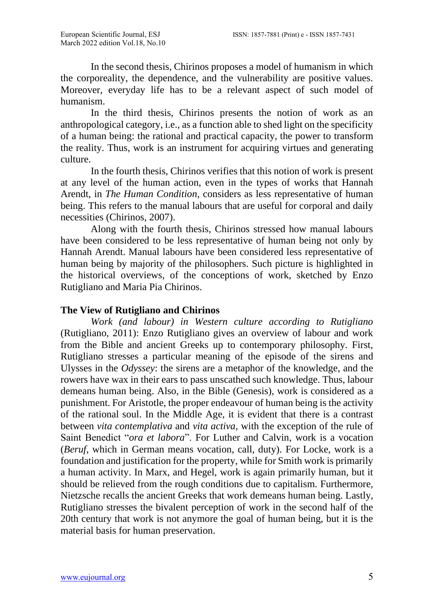In the second thesis, Chirinos proposes a model of humanism in which the corporeality, the dependence, and the vulnerability are positive values. Moreover, everyday life has to be a relevant aspect of such model of humanism.

In the third thesis, Chirinos presents the notion of work as an anthropological category, i.e., as a function able to shed light on the specificity of a human being: the rational and practical capacity, the power to transform the reality. Thus, work is an instrument for acquiring virtues and generating culture.

In the fourth thesis, Chirinos verifies that this notion of work is present at any level of the human action, even in the types of works that Hannah Arendt, in *The Human Condition*, considers as less representative of human being. This refers to the manual labours that are useful for corporal and daily necessities (Chirinos, 2007).

Along with the fourth thesis, Chirinos stressed how manual labours have been considered to be less representative of human being not only by Hannah Arendt. Manual labours have been considered less representative of human being by majority of the philosophers. Such picture is highlighted in the historical overviews, of the conceptions of work, sketched by Enzo Rutigliano and Maria Pia Chirinos.

### **The View of Rutigliano and Chirinos**

*Work (and labour) in Western culture according to Rutigliano* (Rutigliano, 2011): Enzo Rutigliano gives an overview of labour and work from the Bible and ancient Greeks up to contemporary philosophy. First, Rutigliano stresses a particular meaning of the episode of the sirens and Ulysses in the *Odyssey*: the sirens are a metaphor of the knowledge, and the rowers have wax in their ears to pass unscathed such knowledge. Thus, labour demeans human being. Also, in the Bible (Genesis), work is considered as a punishment. For Aristotle, the proper endeavour of human being is the activity of the rational soul. In the Middle Age, it is evident that there is a contrast between *vita contemplativa* and *vita activa*, with the exception of the rule of Saint Benedict "*ora et labora*". For Luther and Calvin, work is a vocation (*Beruf*, which in German means vocation, call, duty). For Locke, work is a foundation and justification for the property, while for Smith work is primarily a human activity. In Marx, and Hegel, work is again primarily human, but it should be relieved from the rough conditions due to capitalism. Furthermore, Nietzsche recalls the ancient Greeks that work demeans human being. Lastly, Rutigliano stresses the bivalent perception of work in the second half of the 20th century that work is not anymore the goal of human being, but it is the material basis for human preservation.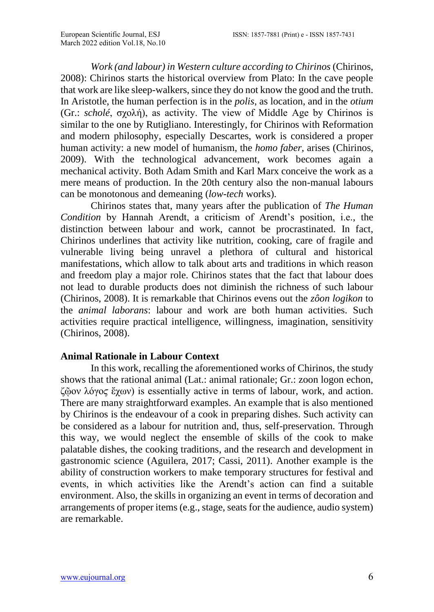*Work (and labour) in Western culture according to Chirinos* (Chirinos, 2008): Chirinos starts the historical overview from Plato: In the cave people that work are like sleep-walkers, since they do not know the good and the truth. In Aristotle, the human perfection is in the *polis*, as location, and in the *otium* (Gr.: *scholé*, σχολή), as activity. The view of Middle Age by Chirinos is similar to the one by Rutigliano. Interestingly, for Chirinos with Reformation and modern philosophy, especially Descartes, work is considered a proper human activity: a new model of humanism, the *homo faber*, arises (Chirinos, 2009). With the technological advancement, work becomes again a mechanical activity. Both Adam Smith and Karl Marx conceive the work as a mere means of production. In the 20th century also the non-manual labours can be monotonous and demeaning (*low-tech* works).

Chirinos states that, many years after the publication of *The Human Condition* by Hannah Arendt, a criticism of Arendt's position, i.e., the distinction between labour and work, cannot be procrastinated. In fact, Chirinos underlines that activity like nutrition, cooking, care of fragile and vulnerable living being unravel a plethora of cultural and historical manifestations, which allow to talk about arts and traditions in which reason and freedom play a major role. Chirinos states that the fact that labour does not lead to durable products does not diminish the richness of such labour (Chirinos, 2008). It is remarkable that Chirinos evens out the *zôon logikon* to the *animal laborans*: labour and work are both human activities. Such activities require practical intelligence, willingness, imagination, sensitivity (Chirinos, 2008).

#### **Animal Rationale in Labour Context**

In this work, recalling the aforementioned works of Chirinos, the study shows that the rational animal (Lat.: animal rationale; Gr.: zoon logon echon, ζῷον λόγοϛ ἔχων) is essentially active in terms of labour, work, and action. There are many straightforward examples. An example that is also mentioned by Chirinos is the endeavour of a cook in preparing dishes. Such activity can be considered as a labour for nutrition and, thus, self-preservation. Through this way, we would neglect the ensemble of skills of the cook to make palatable dishes, the cooking traditions, and the research and development in gastronomic science (Aguilera, 2017; Cassi, 2011). Another example is the ability of construction workers to make temporary structures for festival and events, in which activities like the Arendt's action can find a suitable environment. Also, the skills in organizing an event in terms of decoration and arrangements of proper items (e.g., stage, seats for the audience, audio system) are remarkable.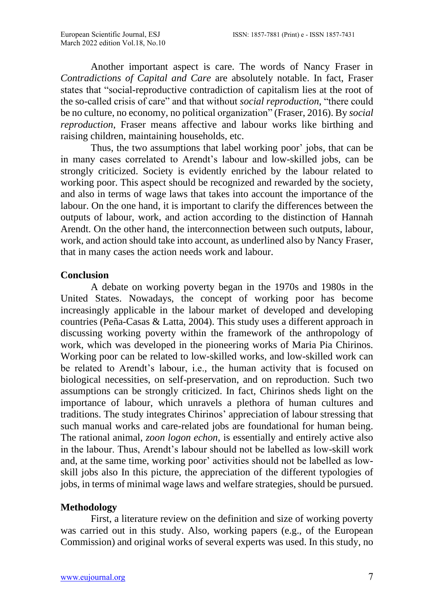Another important aspect is care. The words of Nancy Fraser in *Contradictions of Capital and Care* are absolutely notable. In fact, Fraser states that "social-reproductive contradiction of capitalism lies at the root of the so-called crisis of care" and that without *social reproduction*, "there could be no culture, no economy, no political organization" (Fraser, 2016). By *social reproduction*, Fraser means affective and labour works like birthing and raising children, maintaining households, etc.

Thus, the two assumptions that label working poor' jobs, that can be in many cases correlated to Arendt's labour and low-skilled jobs, can be strongly criticized. Society is evidently enriched by the labour related to working poor. This aspect should be recognized and rewarded by the society, and also in terms of wage laws that takes into account the importance of the labour. On the one hand, it is important to clarify the differences between the outputs of labour, work, and action according to the distinction of Hannah Arendt. On the other hand, the interconnection between such outputs, labour, work, and action should take into account, as underlined also by Nancy Fraser, that in many cases the action needs work and labour.

#### **Conclusion**

A debate on working poverty began in the 1970s and 1980s in the United States. Nowadays, the concept of working poor has become increasingly applicable in the labour market of developed and developing countries (Peña-Casas & Latta, 2004). This study uses a different approach in discussing working poverty within the framework of the anthropology of work, which was developed in the pioneering works of Maria Pia Chirinos. Working poor can be related to low-skilled works, and low-skilled work can be related to Arendt's labour, i.e., the human activity that is focused on biological necessities, on self-preservation, and on reproduction. Such two assumptions can be strongly criticized. In fact, Chirinos sheds light on the importance of labour, which unravels a plethora of human cultures and traditions. The study integrates Chirinos' appreciation of labour stressing that such manual works and care-related jobs are foundational for human being. The rational animal, *zoon logon echon*, is essentially and entirely active also in the labour. Thus, Arendt's labour should not be labelled as low-skill work and, at the same time, working poor' activities should not be labelled as lowskill jobs also In this picture, the appreciation of the different typologies of jobs, in terms of minimal wage laws and welfare strategies, should be pursued.

#### **Methodology**

First, a literature review on the definition and size of working poverty was carried out in this study. Also, working papers (e.g., of the European Commission) and original works of several experts was used. In this study, no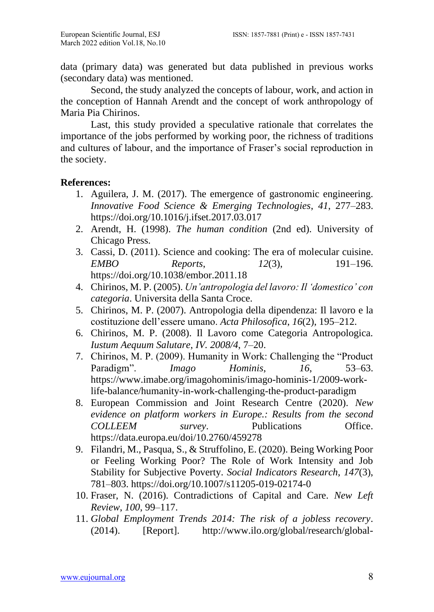data (primary data) was generated but data published in previous works (secondary data) was mentioned.

Second, the study analyzed the concepts of labour, work, and action in the conception of Hannah Arendt and the concept of work anthropology of Maria Pia Chirinos.

Last, this study provided a speculative rationale that correlates the importance of the jobs performed by working poor, the richness of traditions and cultures of labour, and the importance of Fraser's social reproduction in the society.

### **References:**

- 1. Aguilera, J. M. (2017). The emergence of gastronomic engineering. *Innovative Food Science & Emerging Technologies*, *41*, 277–283. https://doi.org/10.1016/j.ifset.2017.03.017
- 2. Arendt, H. (1998). *The human condition* (2nd ed). University of Chicago Press.
- 3. Cassi, D. (2011). Science and cooking: The era of molecular cuisine. *EMBO Reports*, *12*(3), 191–196. https://doi.org/10.1038/embor.2011.18
- 4. Chirinos, M. P. (2005). *Un'antropologia del lavoro: Il 'domestico' con categoria*. Universita della Santa Croce.
- 5. Chirinos, M. P. (2007). Antropologia della dipendenza: Il lavoro e la costituzione dell'essere umano. *Acta Philosofica*, *16*(2), 195–212.
- 6. Chirinos, M. P. (2008). Il Lavoro come Categoria Antropologica. *Iustum Aequum Salutare*, *IV. 2008/4*, 7–20.
- 7. Chirinos, M. P. (2009). Humanity in Work: Challenging the "Product Paradigm". *Imago Hominis*, *16*, 53–63. https://www.imabe.org/imagohominis/imago-hominis-1/2009-worklife-balance/humanity-in-work-challenging-the-product-paradigm
- 8. European Commission and Joint Research Centre (2020). *New evidence on platform workers in Europe.: Results from the second COLLEEM survey*. Publications Office. https://data.europa.eu/doi/10.2760/459278
- 9. Filandri, M., Pasqua, S., & Struffolino, E. (2020). Being Working Poor or Feeling Working Poor? The Role of Work Intensity and Job Stability for Subjective Poverty. *Social Indicators Research*, *147*(3), 781–803. https://doi.org/10.1007/s11205-019-02174-0
- 10. Fraser, N. (2016). Contradictions of Capital and Care. *New Left Review*, *100*, 99–117.
- 11. *Global Employment Trends 2014: The risk of a jobless recovery*. (2014). [Report]. http://www.ilo.org/global/research/global-